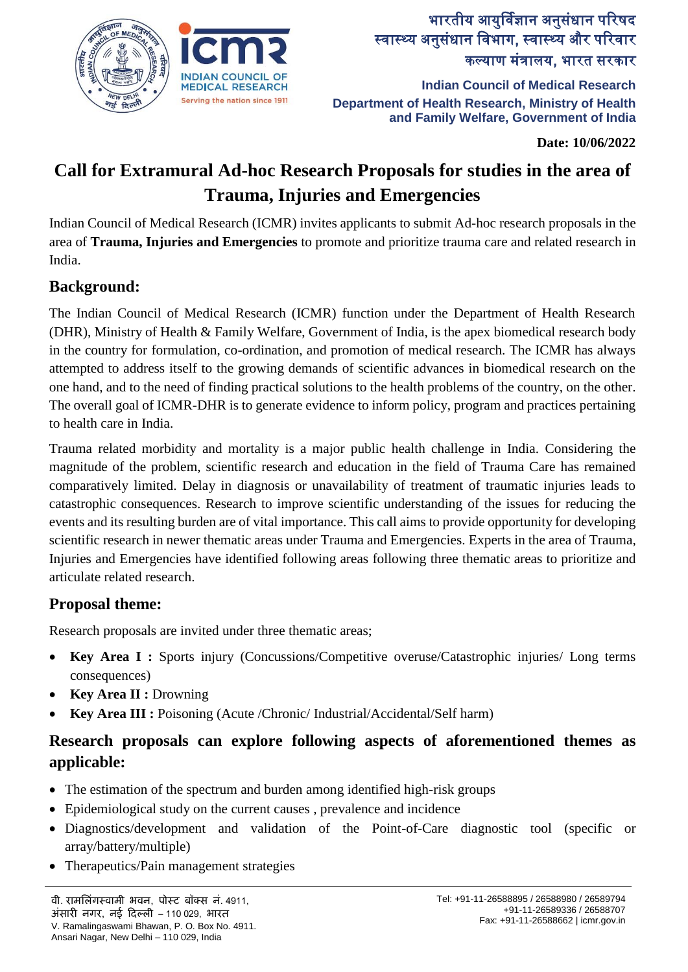

# भारतीय आयुर्विज्ञान अनुसंधान पररषद स्वास्थ्य अनुसंधान विभाग, स्वास्थ्य और परिवार कल्याण मंत्रालय, भारत सरकार

**Indian Council of Medical Research Department of Health Research, Ministry of Health and Family Welfare, Government of India**

**Date: 10/06/2022**

# **Call for Extramural Ad-hoc Research Proposals for studies in the area of Trauma, Injuries and Emergencies**

Indian Council of Medical Research (ICMR) invites applicants to submit Ad-hoc research proposals in the area of **Trauma, Injuries and Emergencies** to promote and prioritize trauma care and related research in India.

### **Background:**

The Indian Council of Medical Research (ICMR) function under the Department of Health Research (DHR), Ministry of Health & Family Welfare, Government of India, is the apex biomedical research body in the country for formulation, co-ordination, and promotion of medical research. The ICMR has always attempted to address itself to the growing demands of scientific advances in biomedical research on the one hand, and to the need of finding practical solutions to the health problems of the country, on the other. The overall goal of ICMR-DHR is to generate evidence to inform policy, program and practices pertaining to health care in India.

Trauma related morbidity and mortality is a major public health challenge in India. Considering the magnitude of the problem, scientific research and education in the field of Trauma Care has remained comparatively limited. Delay in diagnosis or unavailability of treatment of traumatic injuries leads to catastrophic consequences. Research to improve scientific understanding of the issues for reducing the events and its resulting burden are of vital importance. This call aims to provide opportunity for developing scientific research in newer thematic areas under Trauma and Emergencies. Experts in the area of Trauma, Injuries and Emergencies have identified following areas following three thematic areas to prioritize and articulate related research.

### **Proposal theme:**

Research proposals are invited under three thematic areas;

- **Key Area I :** Sports injury (Concussions/Competitive overuse/Catastrophic injuries/ Long terms consequences)
- **Key Area II :** Drowning
- **Key Area III :** Poisoning (Acute /Chronic/ Industrial/Accidental/Self harm)

## **Research proposals can explore following aspects of aforementioned themes as applicable:**

- The estimation of the spectrum and burden among identified high-risk groups
- Epidemiological study on the current causes , prevalence and incidence
- Diagnostics/development and validation of the Point-of-Care diagnostic tool (specific or array/battery/multiple)
- Therapeutics/Pain management strategies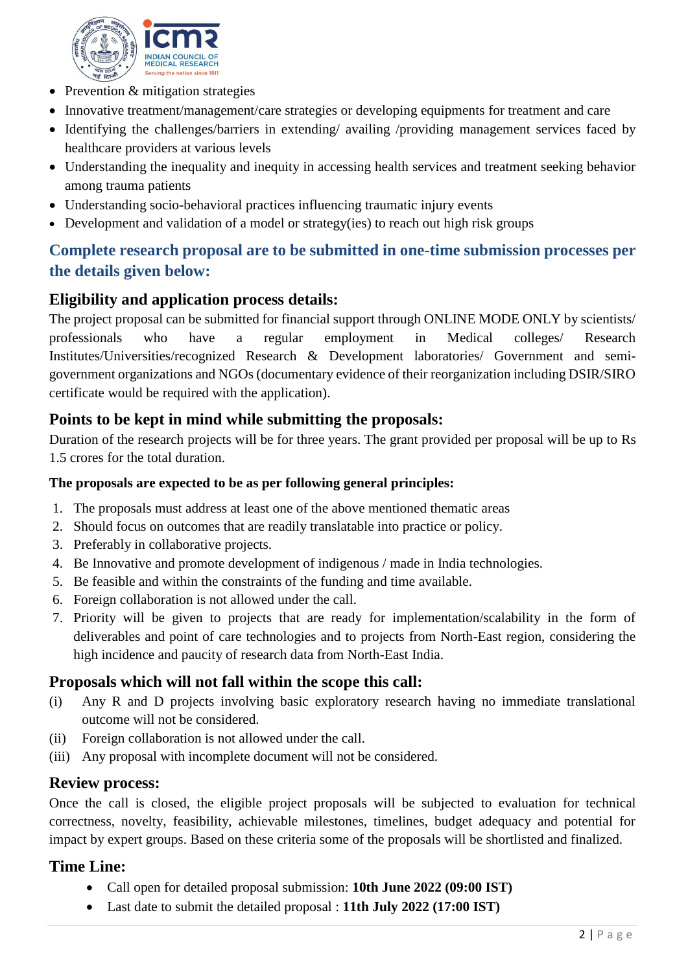

- Prevention & mitigation strategies
- Innovative treatment/management/care strategies or developing equipments for treatment and care
- Identifying the challenges/barriers in extending/ availing /providing management services faced by healthcare providers at various levels
- Understanding the inequality and inequity in accessing health services and treatment seeking behavior among trauma patients
- Understanding socio-behavioral practices influencing traumatic injury events
- Development and validation of a model or strategy(ies) to reach out high risk groups

### **Complete research proposal are to be submitted in one-time submission processes per the details given below:**

### **Eligibility and application process details:**

The project proposal can be submitted for financial support through ONLINE MODE ONLY by scientists/ professionals who have a regular employment in Medical colleges/ Research Institutes/Universities/recognized Research & Development laboratories/ Government and semigovernment organizations and NGOs (documentary evidence of their reorganization including DSIR/SIRO certificate would be required with the application).

### **Points to be kept in mind while submitting the proposals:**

Duration of the research projects will be for three years. The grant provided per proposal will be up to Rs 1.5 crores for the total duration.

#### **The proposals are expected to be as per following general principles:**

- 1. The proposals must address at least one of the above mentioned thematic areas
- 2. Should focus on outcomes that are readily translatable into practice or policy.
- 3. Preferably in collaborative projects.
- 4. Be Innovative and promote development of indigenous / made in India technologies.
- 5. Be feasible and within the constraints of the funding and time available.
- 6. Foreign collaboration is not allowed under the call.
- 7. Priority will be given to projects that are ready for implementation/scalability in the form of deliverables and point of care technologies and to projects from North-East region, considering the high incidence and paucity of research data from North-East India.

#### **Proposals which will not fall within the scope this call:**

- (i) Any R and D projects involving basic exploratory research having no immediate translational outcome will not be considered.
- (ii) Foreign collaboration is not allowed under the call.
- (iii) Any proposal with incomplete document will not be considered.

#### **Review process:**

Once the call is closed, the eligible project proposals will be subjected to evaluation for technical correctness, novelty, feasibility, achievable milestones, timelines, budget adequacy and potential for impact by expert groups. Based on these criteria some of the proposals will be shortlisted and finalized.

#### **Time Line:**

- Call open for detailed proposal submission: **10th June 2022 (09:00 IST)**
- Last date to submit the detailed proposal : **11th July 2022 (17:00 IST)**